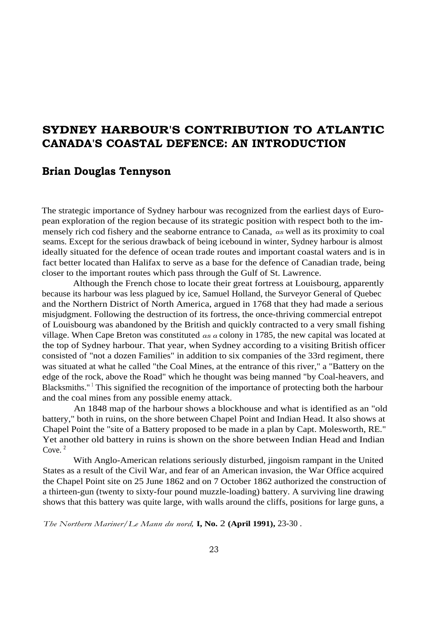## **SYDNEY HARBOUR'S CONTRIBUTION TO ATLANTIC CANADA'S COASTAL DEFENCE: AN INTRODUCTION**

## **Brian Douglas Tennyson**

The strategic importance of Sydney harbour was recognized from the earliest days of European exploration of the region because of its strategic position with respect both to the immensely rich cod fishery and the seaborne entrance to Canada, *as* well as its proximity to coal seams. Except for the serious drawback of being icebound in winter, Sydney harbour is almost ideally situated for the defence of ocean trade routes and important coastal waters and is in fact better located than Halifax to serve as a base for the defence of Canadian trade, being closer to the important routes which pass through the Gulf of St. Lawrence.

Although the French chose to locate their great fortress at Louisbourg, apparently because its harbour was less plagued by ice, Samuel Holland, the Surveyor General of Quebec and the Northern District of North America, argued in 1768 that they had made a serious misjudgment. Following the destruction of its fortress, the once-thriving commercial entrepot of Louisbourg was abandoned by the British and quickly contracted to a very small fishing village. When Cape Breton was constituted *as a* colony in 1785, the new capital was located at the top of Sydney harbour. That year, when Sydney according to a visiting British officer consisted of "not a dozen Families" in addition to six companies of the 33rd regiment, there was situated at what he called "the Coal Mines, at the entrance of this river," a "Battery on the edge of the rock, above the Road" which he thought was being manned "by Coal-heavers, and Blacksmiths."<sup>1</sup> This signified the recognition of the importance of protecting both the harbour and the coal mines from any possible enemy attack.

An 1848 map of the harbour shows a blockhouse and what is identified as an "old battery," both in ruins, on the shore between Chapel Point and Indian Head. It also shows at Chapel Point the "site of a Battery proposed to be made in a plan by Capt. Molesworth, RE." Yet another old battery in ruins is shown on the shore between Indian Head and Indian Cove.<sup>2</sup>

With Anglo-American relations seriously disturbed, jingoism rampant in the United States as a result of the Civil War, and fear of an American invasion, the War Office acquired the Chapel Point site on 25 June 1862 and on 7 October 1862 authorized the construction of a thirteen-gun (twenty to sixty-four pound muzzle-loading) battery. A surviving line drawing shows that this battery was quite large, with walls around the cliffs, positions for large guns, a

*The Northern Mariner/Le Mann du nord,* **I, No.** 2 **(April 1991),** 23-30 .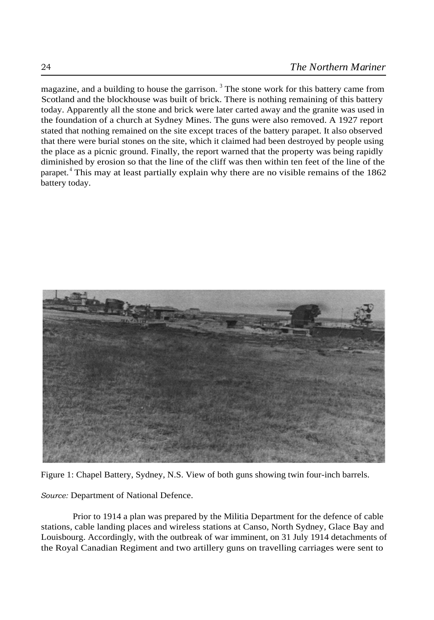magazine, and a building to house the garrison.<sup>3</sup> The stone work for this battery came from Scotland and the blockhouse was built of brick. There is nothing remaining of this battery today. Apparently all the stone and brick were later carted away and the granite was used in the foundation of a church at Sydney Mines. The guns were also removed. A 1927 report stated that nothing remained on the site except traces of the battery parapet. It also observed that there were burial stones on the site, which it claimed had been destroyed by people using the place as a picnic ground. Finally, the report warned that the property was being rapidly diminished by erosion so that the line of the cliff was then within ten feet of the line of the parapet. <sup>4</sup> This may at least partially explain why there are no visible remains of the 1862 battery today.



Figure 1: Chapel Battery, Sydney, N.S. View of both guns showing twin four-inch barrels.

*Source:* Department of National Defence.

Prior to 1914 a plan was prepared by the Militia Department for the defence of cable stations, cable landing places and wireless stations at Canso, North Sydney, Glace Bay and Louisbourg. Accordingly, with the outbreak of war imminent, on 31 July 1914 detachments of the Royal Canadian Regiment and two artillery guns on travelling carriages were sent to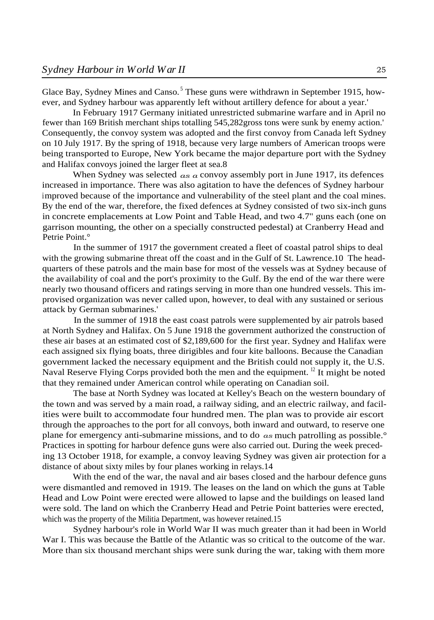Glace Bay, Sydney Mines and Canso.<sup>5</sup> These guns were withdrawn in September 1915, however, and Sydney harbour was apparently left without artillery defence for about a year.'

In February 1917 Germany initiated unrestricted submarine warfare and in April no fewer than 169 British merchant ships totalling 545,282gross tons were sunk by enemy action.' Consequently, the convoy system was adopted and the first convoy from Canada left Sydney on 10 July 1917. By the spring of 1918, because very large numbers of American troops were being transported to Europe, New York became the major departure port with the Sydney and Halifax convoys joined the larger fleet at sea.8

When Sydney was selected *as a* convoy assembly port in June 1917, its defences increased in importance. There was also agitation to have the defences of Sydney harbour improved because of the importance and vulnerability of the steel plant and the coal mines. By the end of the war, therefore, the fixed defences at Sydney consisted of two six-inch guns in concrete emplacements at Low Point and Table Head, and two 4.7" guns each (one on garrison mounting, the other on a specially constructed pedestal) at Cranberry Head and Petrie Point.°

In the summer of 1917 the government created a fleet of coastal patrol ships to deal with the growing submarine threat off the coast and in the Gulf of St. Lawrence.10 The headquarters of these patrols and the main base for most of the vessels was at Sydney because of the availability of coal and the port's proximity to the Gulf. By the end of the war there were nearly two thousand officers and ratings serving in more than one hundred vessels. This improvised organization was never called upon, however, to deal with any sustained or serious attack by German submarines.'

In the summer of 1918 the east coast patrols were supplemented by air patrols based at North Sydney and Halifax. On 5 June 1918 the government authorized the construction of these air bases at an estimated cost of \$2,189,600 for the first year. Sydney and Halifax were each assigned six flying boats, three dirigibles and four kite balloons. Because the Canadian government lacked the necessary equipment and the British could not supply it, the U.S. Naval Reserve Flying Corps provided both the men and the equipment. <sup>12</sup> It might be noted that they remained under American control while operating on Canadian soil.

The base at North Sydney was located at Kelley's Beach on the western boundary of the town and was served by a main road, a railway siding, and an electric railway, and facilities were built to accommodate four hundred men. The plan was to provide air escort through the approaches to the port for all convoys, both inward and outward, to reserve one plane for emergency anti-submarine missions, and to do *as* much patrolling as possible.° Practices in spotting for harbour defence guns were also carried out. During the week preceding 13 October 1918, for example, a convoy leaving Sydney was given air protection for a distance of about sixty miles by four planes working in relays.14

With the end of the war, the naval and air bases closed and the harbour defence guns were dismantled and removed in 1919. The leases on the land on which the guns at Table Head and Low Point were erected were allowed to lapse and the buildings on leased land were sold. The land on which the Cranberry Head and Petrie Point batteries were erected, which was the property of the Militia Department, was however retained.15

Sydney harbour's role in World War II was much greater than it had been in World War I. This was because the Battle of the Atlantic was so critical to the outcome of the war. More than six thousand merchant ships were sunk during the war, taking with them more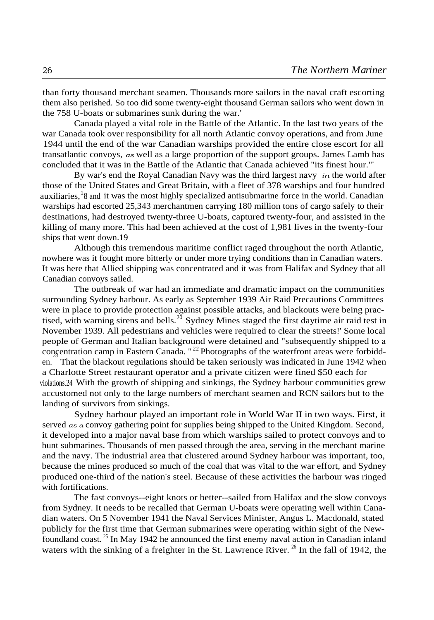than forty thousand merchant seamen. Thousands more sailors in the naval craft escorting them also perished. So too did some twenty-eight thousand German sailors who went down in the 758 U-boats or submarines sunk during the war.'

Canada played a vital role in the Battle of the Atlantic. In the last two years of the war Canada took over responsibility for all north Atlantic convoy operations, and from June 1944 until the end of the war Canadian warships provided the entire close escort for all transatlantic convoys, *as* well as a large proportion of the support groups. James Lamb has concluded that it was in the Battle of the Atlantic that Canada achieved "its finest hour."'

By war's end the Royal Canadian Navy was the third largest navy *in* the world after those of the United States and Great Britain, with a fleet of 378 warships and four hundred auxiliaries, <sup>1</sup>8 and it was the most highly specialized antisubmarine force in the world. Canadian warships had escorted 25,343 merchantmen carrying 180 million tons of cargo safely to their destinations, had destroyed twenty-three U-boats, captured twenty-four, and assisted in the killing of many more. This had been achieved at the cost of 1,981 lives in the twenty-four ships that went down.19

Although this tremendous maritime conflict raged throughout the north Atlantic, nowhere was it fought more bitterly or under more trying conditions than in Canadian waters. It was here that Allied shipping was concentrated and it was from Halifax and Sydney that all Canadian convoys sailed.

The outbreak of war had an immediate and dramatic impact on the communities surrounding Sydney harbour. As early as September 1939 Air Raid Precautions Committees were in place to provide protection against possible attacks, and blackouts were being practised, with warning sirens and bells.<sup>20</sup> Sydney Mines staged the first daytime air raid test in November 1939. All pedestrians and vehicles were required to clear the streets!' Some local people of German and Italian background were detained and "subsequently shipped to a concentration camp in Eastern Canada. "<sup>22</sup> Photographs of the waterfront areas were forbidden. That the blackout regulations should be taken seriously was indicated in June 1942 when a Charlotte Street restaurant operator and a private citizen were fined \$50 each for violations.24 With the growth of shipping and sinkings, the Sydney harbour communities grew accustomed not only to the large numbers of merchant seamen and RCN sailors but to the landing of survivors from sinkings.

Sydney harbour played an important role in World War II in two ways. First, it served *as a* convoy gathering point for supplies being shipped to the United Kingdom. Second, it developed into a major naval base from which warships sailed to protect convoys and to hunt submarines. Thousands of men passed through the area, serving in the merchant marine and the navy. The industrial area that clustered around Sydney harbour was important, too, because the mines produced so much of the coal that was vital to the war effort, and Sydney produced one-third of the nation's steel. Because of these activities the harbour was ringed with fortifications.

The fast convoys--eight knots or better--sailed from Halifax and the slow convoys from Sydney. It needs to be recalled that German U-boats were operating well within Canadian waters. On 5 November 1941 the Naval Services Minister, Angus L. Macdonald, stated publicly for the first time that German submarines were operating within sight of the Newfoundland coast. <sup>25</sup> In May 1942 he announced the first enemy naval action in Canadian inland waters with the sinking of a freighter in the St. Lawrence River.  $^{26}$  In the fall of 1942, the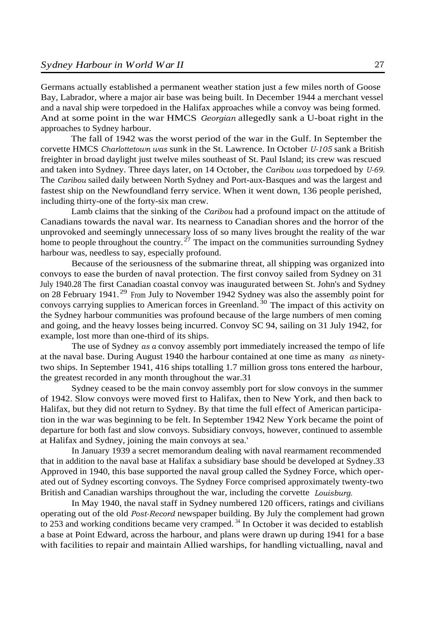Germans actually established a permanent weather station just a few miles north of Goose Bay, Labrador, where a major air base was being built. In December 1944 a merchant vessel and a naval ship were torpedoed in the Halifax approaches while a convoy was being formed. And at some point in the war HMCS *Georgian* allegedly sank a U-boat right in the approaches to Sydney harbour.

The fall of 1942 was the worst period of the war in the Gulf. In September the corvette HMCS *Charlottetown was* sunk in the St. Lawrence. In October *U-105* sank a British freighter in broad daylight just twelve miles southeast of St. Paul Island; its crew was rescued and taken into Sydney. Three days later, on 14 October, the *Caribou was* torpedoed by *U-69.* The *Caribou* sailed daily between North Sydney and Port-aux-Basques and was the largest and fastest ship on the Newfoundland ferry service. When it went down, 136 people perished, including thirty-one of the forty-six man crew.

Lamb claims that the sinking of the *Caribou* had a profound impact on the attitude of Canadians towards the naval war. Its nearness to Canadian shores and the horror of the unprovoked and seemingly unnecessary loss of so many lives brought the reality of the war home to people throughout the country.<sup>27</sup> The impact on the communities surrounding Sydney harbour was, needless to say, especially profound.

Because of the seriousness of the submarine threat, all shipping was organized into convoys to ease the burden of naval protection. The first convoy sailed from Sydney on 31 July 1940.28 The first Canadian coastal convoy was inaugurated between St. John's and Sydney on 28 February 1941.<sup>29</sup> From July to November 1942 Sydney was also the assembly point for convoys carrying supplies to American forces in Greenland.<sup>30</sup> The impact of this activity on the Sydney harbour communities was profound because of the large numbers of men coming and going, and the heavy losses being incurred. Convoy SC 94, sailing on 31 July 1942, for example, lost more than one-third of its ships.

The use of Sydney *as a* convoy assembly port immediately increased the tempo of life at the naval base. During August 1940 the harbour contained at one time as many *as* ninetytwo ships. In September 1941, 416 ships totalling 1.7 million gross tons entered the harbour, the greatest recorded in any month throughout the war.31

Sydney ceased to be the main convoy assembly port for slow convoys in the summer of 1942. Slow convoys were moved first to Halifax, then to New York, and then back to Halifax, but they did not return to Sydney. By that time the full effect of American participation in the war was beginning to be felt. In September 1942 New York became the point of departure for both fast and slow convoys. Subsidiary convoys, however, continued to assemble at Halifax and Sydney, joining the main convoys at sea.'

In January 1939 a secret memorandum dealing with naval rearmament recommended that in addition to the naval base at Halifax a subsidiary base should be developed at Sydney.33 Approved in 1940, this base supported the naval group called the Sydney Force, which operated out of Sydney escorting convoys. The Sydney Force comprised approximately twenty-two British and Canadian warships throughout the war, including the corvette *Louisburg.*

In May 1940, the naval staff in Sydney numbered 120 officers, ratings and civilians operating out of the old *Post-Record* newspaper building. By July the complement had grown to 253 and working conditions became very cramped.  $34$  In October it was decided to establish a base at Point Edward, across the harbour, and plans were drawn up during 1941 for a base with facilities to repair and maintain Allied warships, for handling victualling, naval and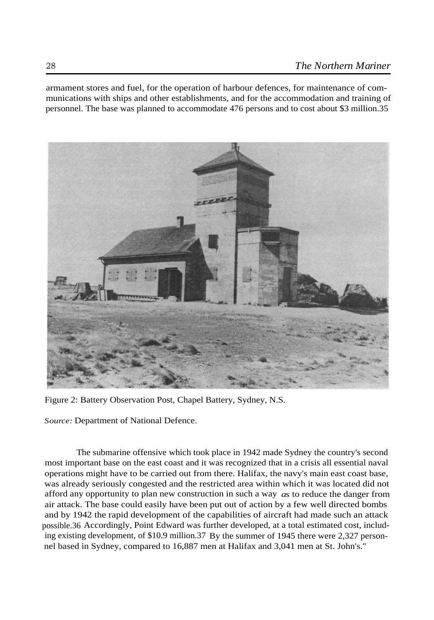armament stores and fuel, for the operation of harbour defences, for maintenance of communications with ships and other establishments, and for the accommodation and training of personnel. The base was planned to accommodate 476 persons and to cost about \$3 million.35



Figure 2: Battery Observation Post, Chapel Battery, Sydney, N.S.

*Source:* Department of National Defence.

The submarine offensive which took place in 1942 made Sydney the country's second most important base on the east coast and it was recognized that in a crisis all essential naval operations might have to be carried out from there. Halifax, the navy's main east coast base, was already seriously congested and the restricted area within which it was located did not afford any opportunity to plan new construction in such a way *as* to reduce the danger from air attack. The base could easily have been put out of action by a few well directed bombs and by 1942 the rapid development of the capabilities of aircraft had made such an attack possible.36 Accordingly, Point Edward was further developed, at a total estimated cost, including existing development, of \$10.9 million.37 By the summer of 1945 there were 2,327 personnel based in Sydney, compared to 16,887 men at Halifax and 3,041 men at St. John's."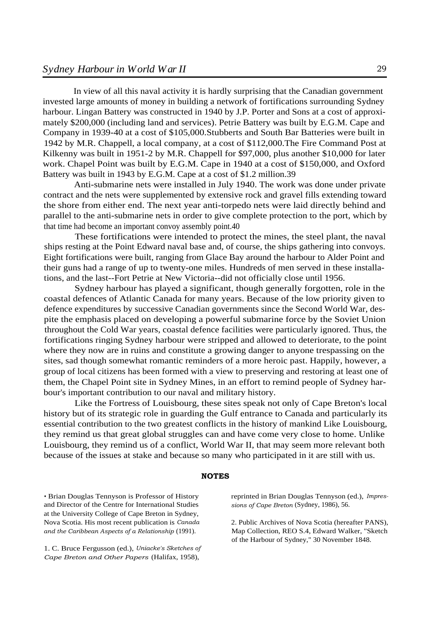In view of all this naval activity it is hardly surprising that the Canadian government invested large amounts of money in building a network of fortifications surrounding Sydney harbour. Lingan Battery was constructed in 1940 by J.P. Porter and Sons at a cost of approximately \$200,000 (including land and services). Petrie Battery was built by E.G.M. Cape and Company in 1939-40 at a cost of \$105,000.Stubberts and South Bar Batteries were built in 1942 by M.R. Chappell, a local company, at a cost of \$112,000.The Fire Command Post at Kilkenny was built in 1951-2 by M.R. Chappell for \$97,000, plus another \$10,000 for later work. Chapel Point was built by E.G.M. Cape in 1940 at a cost of \$150,000, and Oxford Battery was built in 1943 by E.G.M. Cape at a cost of \$1.2 million.39

Anti-submarine nets were installed in July 1940. The work was done under private contract and the nets were supplemented by extensive rock and gravel fills extending toward the shore from either end. The next year anti-torpedo nets were laid directly behind and parallel to the anti-submarine nets in order to give complete protection to the port, which by that time had become an important convoy assembly point.40

These fortifications were intended to protect the mines, the steel plant, the naval ships resting at the Point Edward naval base and, of course, the ships gathering into convoys. Eight fortifications were built, ranging from Glace Bay around the harbour to Alder Point and their guns had a range of up to twenty-one miles. Hundreds of men served in these installations, and the last--Fort Petrie at New Victoria--did not officially close until 1956.

Sydney harbour has played a significant, though generally forgotten, role in the coastal defences of Atlantic Canada for many years. Because of the low priority given to defence expenditures by successive Canadian governments since the Second World War, despite the emphasis placed on developing a powerful submarine force by the Soviet Union throughout the Cold War years, coastal defence facilities were particularly ignored. Thus, the fortifications ringing Sydney harbour were stripped and allowed to deteriorate, to the point where they now are in ruins and constitute a growing danger to anyone trespassing on the sites, sad though somewhat romantic reminders of a more heroic past. Happily, however, a group of local citizens has been formed with a view to preserving and restoring at least one of them, the Chapel Point site in Sydney Mines, in an effort to remind people of Sydney harbour's important contribution to our naval and military history.

Like the Fortress of Louisbourg, these sites speak not only of Cape Breton's local history but of its strategic role in guarding the Gulf entrance to Canada and particularly its essential contribution to the two greatest conflicts in the history of mankind Like Louisbourg, they remind us that great global struggles can and have come very close to home. Unlike Louisbourg, they remind us of a conflict, World War II, that may seem more relevant both because of the issues at stake and because so many who participated in it are still with us.

## **NOTES**

• Brian Douglas Tennyson is Professor of History and Director of the Centre for International Studies at the University College of Cape Breton in Sydney, Nova Scotia. His most recent publication is *Canada and the Caribbean Aspects of a Relationship* (1991).

1. C. Bruce Fergusson (ed.), *Uniacke's Sketches of Cape Breton and Other Papers* (Halifax, 1958),

reprinted in Brian Douglas Tennyson (ed.), *Impressions of Cape Breton* (Sydney, 1986), 56.

2. Public Archives of Nova Scotia (hereafter PANS), Map Collection, REO S.4, Edward Walker, "Sketch of the Harbour of Sydney," 30 November 1848.